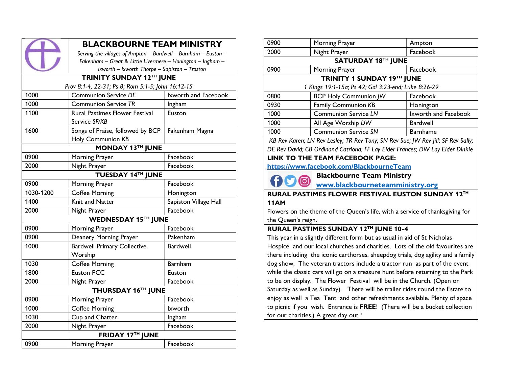|                                                   | <b>BLACKBOURNE TEAM MINISTRY</b>                               |                      |  |  |  |
|---------------------------------------------------|----------------------------------------------------------------|----------------------|--|--|--|
|                                                   | Serving the villages of Ampton - Bardwell - Barnham - Euston - |                      |  |  |  |
|                                                   | Fakenham - Great & Little Livermere - Honington - Ingham -     |                      |  |  |  |
|                                                   | Ixworth - Ixworth Thorpe - Sapiston - Troston                  |                      |  |  |  |
| TRINITY SUNDAY 12TH JUNE                          |                                                                |                      |  |  |  |
| Prov 8:1-4, 22-31; Ps 8; Rom 5:1-5; John 16:12-15 |                                                                |                      |  |  |  |
| 1000                                              | <b>Communion Service DE</b>                                    | Ixworth and Facebook |  |  |  |
| 1000                                              | <b>Communion Service TR</b>                                    | Ingham               |  |  |  |
| 1100                                              | Rural Pastimes Flower Festival                                 | Euston               |  |  |  |
|                                                   | Service SF/KB                                                  |                      |  |  |  |
| 1600                                              | Songs of Praise, followed by BCP                               | Fakenham Magna       |  |  |  |
|                                                   | <b>Holy Communion KB</b>                                       |                      |  |  |  |
| <b>MONDAY 13TH JUNE</b>                           |                                                                |                      |  |  |  |
| 0900                                              | Morning Prayer                                                 | Facebook             |  |  |  |
| 2000                                              | Night Prayer                                                   | Facebook             |  |  |  |
| <b>TUESDAY 14TH JUNE</b>                          |                                                                |                      |  |  |  |
| 0900                                              | Morning Prayer                                                 | Facebook             |  |  |  |
| $\lambda$                                         |                                                                |                      |  |  |  |

| <b>TUESDAY 14TH JUNE</b> |                                    |                       |  |  |
|--------------------------|------------------------------------|-----------------------|--|--|
| 0900                     | Morning Prayer                     | Facebook              |  |  |
| 1030-1200                | <b>Coffee Morning</b>              | Honington             |  |  |
| 1400                     | Knit and Natter                    | Sapiston Village Hall |  |  |
| 2000                     | Night Prayer                       | Facebook              |  |  |
| WEDNESDAY 15TH JUNE      |                                    |                       |  |  |
| 0900                     | Morning Prayer                     | Facebook              |  |  |
| 0900                     | Deanery Morning Prayer             | Pakenham              |  |  |
| 1000                     | <b>Bardwell Primary Collective</b> | Bardwell              |  |  |
|                          | Worship                            |                       |  |  |
| 1030                     | <b>Coffee Morning</b>              | Barnham               |  |  |
| 1800                     | <b>Euston PCC</b>                  | Euston                |  |  |
| 2000                     | Night Prayer                       | Facebook              |  |  |
| THURSDAY 16TH JUNE       |                                    |                       |  |  |
| 0900                     | Morning Prayer                     | Facebook              |  |  |
| 1000                     | <b>Coffee Morning</b>              | <b>Ixworth</b>        |  |  |
| 1030                     | Cup and Chatter                    | Ingham                |  |  |
| 2000                     | Night Prayer                       | Facebook              |  |  |
| <b>FRIDAY 17TH JUNE</b>  |                                    |                       |  |  |
| 0900                     | Morning Prayer                     | Facebook              |  |  |

| 0900                                                | Morning Prayer               | Ampton               |  |
|-----------------------------------------------------|------------------------------|----------------------|--|
| 2000                                                | Night Prayer                 | Facebook             |  |
| SATURDAY 18TH JUNE                                  |                              |                      |  |
| 0900                                                | Morning Prayer               | Facebook             |  |
| TRINITY 1 SUNDAY 19TH JUNE                          |                              |                      |  |
| 1 Kings 19:1-15a; Ps 42; Gal 3:23-end; Luke 8:26-29 |                              |                      |  |
| 0800                                                | <b>BCP Holy Communion JW</b> | Facebook             |  |
| 0930                                                | <b>Family Communion KB</b>   | Honington            |  |
| 1000                                                | <b>Communion Service LN</b>  | Ixworth and Facebook |  |
| 1000                                                | All Age Worship DW           | <b>Bardwell</b>      |  |
| 1000                                                | <b>Communion Service SN</b>  | Barnhame             |  |
|                                                     |                              |                      |  |

KB Rev Karen; LN Rev Lesley; TR Rev Tony; SN Rev Sue; JW Rev Jill; SF Rev Sally; DE Rev David; CB Ordinand Catriona; FF Lay Elder Frances; DW Lay Elder Dinkie LINK TO THE TEAM FACEBOOK PAGE:

https://www.facebook.com/BlackbourneTeam

Blackbourne Team Ministry  $\bullet$ 

www.blackbourneteamministry.org

## RURAL PASTIMES FLOWER FESTIVAL EUSTON SUNDAY 12TH 11AM

Flowers on the theme of the Queen's life, with a service of thanksgiving for the Queen's reign.

# RURAL PASTIMES SUNDAY 12TH JUNE 10-4

This year in a slightly different form but as usual in aid of St Nicholas Hospice and our local churches and charities. Lots of the old favourites are there including the iconic carthorses, sheepdog trials, dog agility and a family dog show, The veteran tractors include a tractor run as part of the event while the classic cars will go on a treasure hunt before returning to the Park to be on display. The Flower Festival will be in the Church. (Open on Saturday as well as Sunday). There will be trailer rides round the Estate to enjoy as well a Tea Tent and other refreshments available. Plenty of space to picnic if you wish. Entrance is FREE! (There will be a bucket collection for our charities.) A great day out !